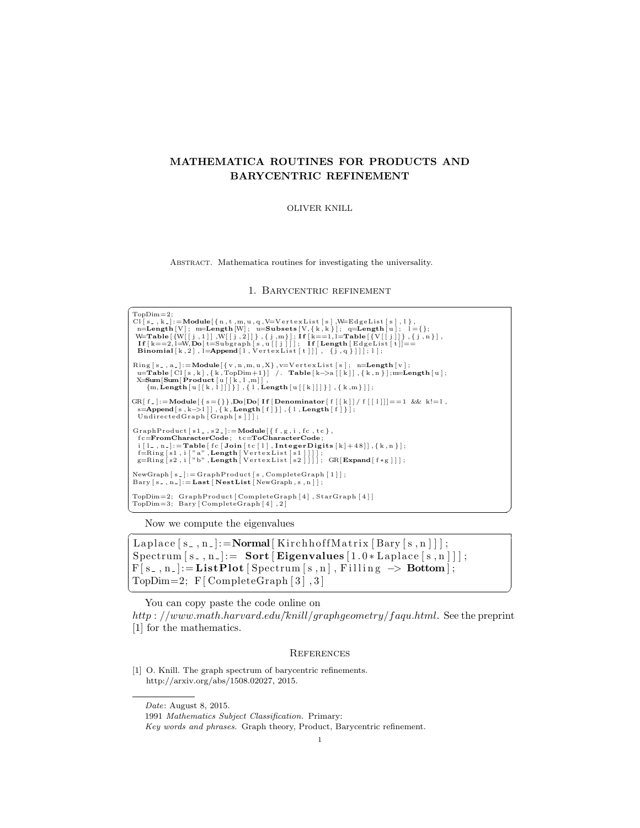# MATHEMATICA ROUTINES FOR PRODUCTS AND BARYCENTRIC REFINEMENT

#### OLIVER KNILL

Abstract. Mathematica routines for investigating the universality.

## 1. Barycentric refinement

```
\sqrt{\text{TopDim}=2}};Cl[s_, k_]:=Module[{n, t, m, u, q, V=VertexList[s], W=EdgeList[s], l},<br>n=Length [V]; m=Length [W]; u=Subsets [V, {k, k }]; q=Length [u]; 1={};<br>W=Table[{W[[j, i]], W[[j, 2]]}, {j, m}; If[k==1,l=Table[{V[[j]]}, {j, n }],<br>If
  Ring [s_, a_]:=Module [{v, n, m, u, X}, v=VertexList [s]; n=Length [v];<br>u=Table [Cl [s, k], {k, TopDim+1}] /. Table [k->a [[k]], {k, n } ];m=Length [u];<br>X=Sum [Sum [Product [u [[k, l, m]],
       \{m, \textbf{Length}\left[\left.u\left[\left[\,k\,, 1\, \right]\right]\right]\}\right\} , \{ l , \textbf{Length}\left[\left.u\left[\left[\,k\, \right]\right]\right]\}\right\} , \{ k ,m \} ]] ;
 \text{GR}[\ f_*]:=\text{Module}[\{s=\{\}\},\text{Do}[\text{Do}[\ \text{If}[\text{Denominator}[\ f\ [\ [k]]\ /\ f\ [\ [1]]] \} =1 \enspace \&\& \enspace k!=1\, ,\ \text{s=Value}[\ s,\ k=1]\,],\ \{k,\text{Length}[\ f]\}\},\ \{1,\text{Length}[\ f]\}\};GraphProduct [s1_, s2_]:=\text{Module} [{f,g,i,fc,tc},
    fc=FromCharacterCode; tc=ToCharacterCode;<br>i[1.,n_]:=Table[fc[Join[tc[1],IntegerDigits[k]+48]],{k,n}];<br>f=Ring[s1,i["a",Length[VertexList[s1]]]];<br>g=Ring[s2,i["b",Length[VertexList[s2]]]]; GR[Expand[f*g]]];
 NewGraph[s_+] := GraphProduct[s, CompleteGraph[1]];Bary [s_-, n_-] :=Last [NestList[NewGraph, s, n]\];
 TopDim=2; GraphProduct [ CompleteGraph [ 4 ] , StarGraph [ 4 ] ]
 TopDim=3; Bary [ CompleteGraph [ 4 ] , 2 ]
✝ ✆
```
Now we compute the eigenvalues

```
\overline{a}Laplace [s_-, n_-]:=Normal [ KirchhoffMatrix [ Bary [s_-, n_+] ] ;
Spectrum[s_-,n_-] := Sort [Eigenvalues [1.0 * Laplace [s, n ]]];
F[s_-, n_-] := ListPlot[Spectrum[s, n], Filling \rightarrow Bottom];TopDim=2; F[CompleteGraph [3], 3]
```
You can copy paste the code online on

http :  $//www.math.harvard.edu/knill/graph geometry/faqu.html$ . See the preprint [1] for the mathematics.

✝ ✆

### **REFERENCES**

[1] O. Knill. The graph spectrum of barycentric refinements. http://arxiv.org/abs/1508.02027, 2015.

Date: August 8, 2015.

<sup>1991</sup> Mathematics Subject Classification. Primary:

Key words and phrases. Graph theory, Product, Barycentric refinement.